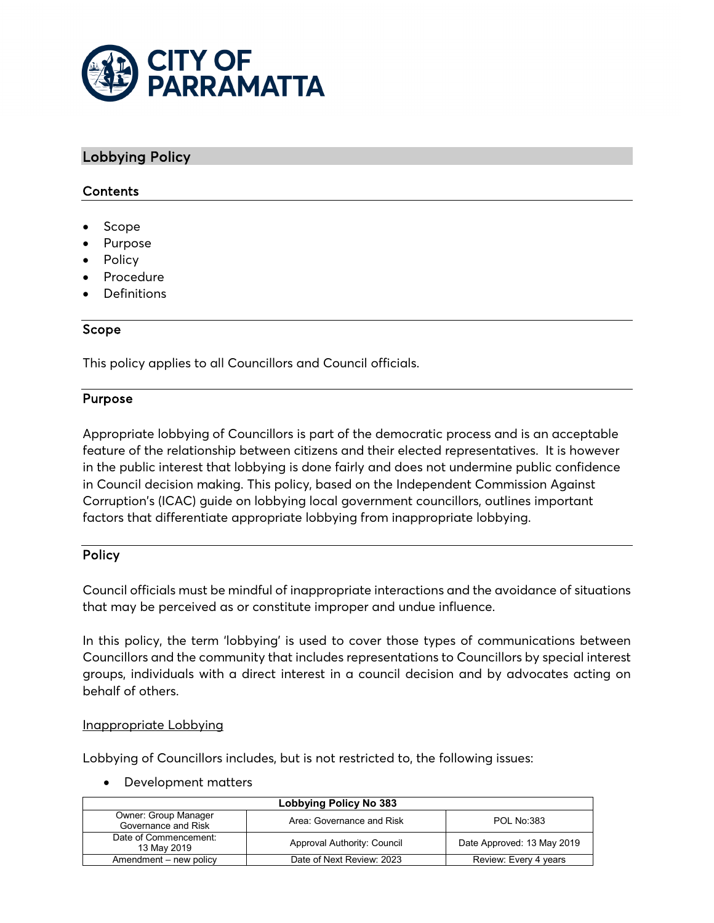

# Lobbying Policy

# **Contents**

- Scope
- Purpose
- Policy
- **Procedure**
- Definitions

## Scope

This policy applies to all Councillors and Council officials.

#### Purpose

Appropriate lobbying of Councillors is part of the democratic process and is an acceptable feature of the relationship between citizens and their elected representatives. It is however in the public interest that lobbying is done fairly and does not undermine public confidence in Council decision making. This policy, based on the Independent Commission Against Corruption's (ICAC) guide on lobbying local government councillors, outlines important factors that differentiate appropriate lobbying from inappropriate lobbying.

## Policy

Council officials must be mindful of inappropriate interactions and the avoidance of situations that may be perceived as or constitute improper and undue influence.

In this policy, the term 'lobbying' is used to cover those types of communications between Councillors and the community that includes representations to Councillors by special interest groups, individuals with a direct interest in a council decision and by advocates acting on behalf of others.

#### Inappropriate Lobbying

Lobbying of Councillors includes, but is not restricted to, the following issues:

#### • Development matters

| Lobbying Policy No 383                      |                             |                            |  |  |
|---------------------------------------------|-----------------------------|----------------------------|--|--|
| Owner: Group Manager<br>Governance and Risk | Area: Governance and Risk   | <b>POL No:383</b>          |  |  |
| Date of Commencement:<br>13 May 2019        | Approval Authority: Council | Date Approved: 13 May 2019 |  |  |
| Amendment – new policy                      | Date of Next Review: 2023   | Review: Every 4 years      |  |  |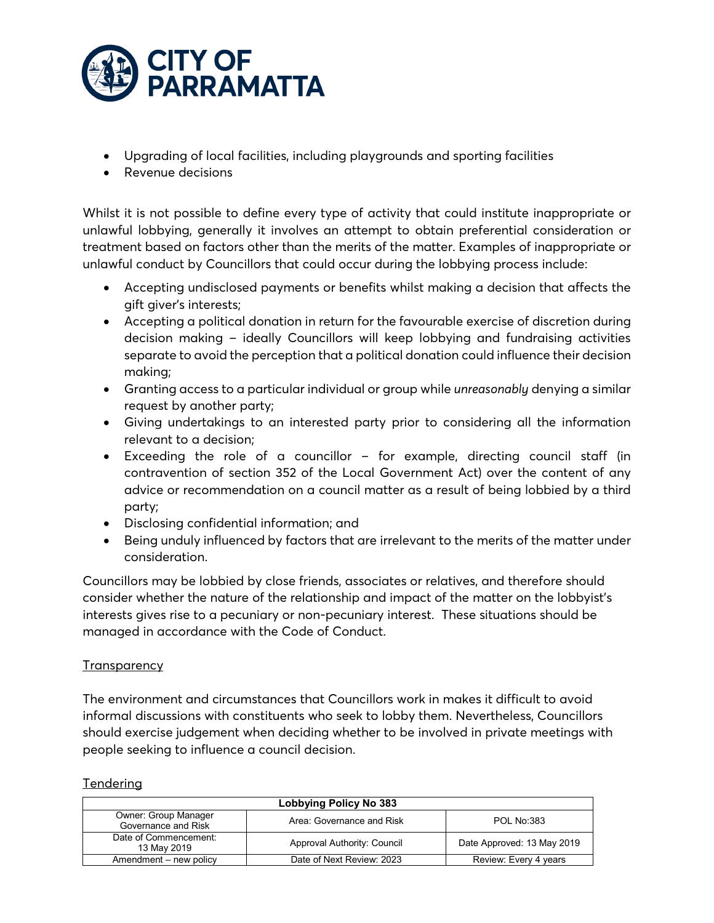

- Upgrading of local facilities, including playgrounds and sporting facilities
- Revenue decisions

Whilst it is not possible to define every type of activity that could institute inappropriate or unlawful lobbying, generally it involves an attempt to obtain preferential consideration or treatment based on factors other than the merits of the matter. Examples of inappropriate or unlawful conduct by Councillors that could occur during the lobbying process include:

- Accepting undisclosed payments or benefits whilst making a decision that affects the gift giver's interests;
- Accepting a political donation in return for the favourable exercise of discretion during decision making – ideally Councillors will keep lobbying and fundraising activities separate to avoid the perception that a political donation could influence their decision making;
- Granting access to a particular individual or group while *unreasonably* denying a similar request by another party;
- Giving undertakings to an interested party prior to considering all the information relevant to a decision;
- Exceeding the role of a councillor for example, directing council staff (in contravention of section 352 of the Local Government Act) over the content of any advice or recommendation on a council matter as a result of being lobbied by a third party;
- Disclosing confidential information; and
- Being unduly influenced by factors that are irrelevant to the merits of the matter under consideration.

Councillors may be lobbied by close friends, associates or relatives, and therefore should consider whether the nature of the relationship and impact of the matter on the lobbyist's interests gives rise to a pecuniary or non-pecuniary interest. These situations should be managed in accordance with the Code of Conduct.

# **Transparency**

The environment and circumstances that Councillors work in makes it difficult to avoid informal discussions with constituents who seek to lobby them. Nevertheless, Councillors should exercise judgement when deciding whether to be involved in private meetings with people seeking to influence a council decision.

| Lobbying Policy No 383                      |                             |                            |  |  |
|---------------------------------------------|-----------------------------|----------------------------|--|--|
| Owner: Group Manager<br>Governance and Risk | Area: Governance and Risk   | <b>POL No:383</b>          |  |  |
| Date of Commencement:<br>13 May 2019        | Approval Authority: Council | Date Approved: 13 May 2019 |  |  |
| Amendment – new policy                      | Date of Next Review: 2023   | Review: Every 4 years      |  |  |

## **Tendering**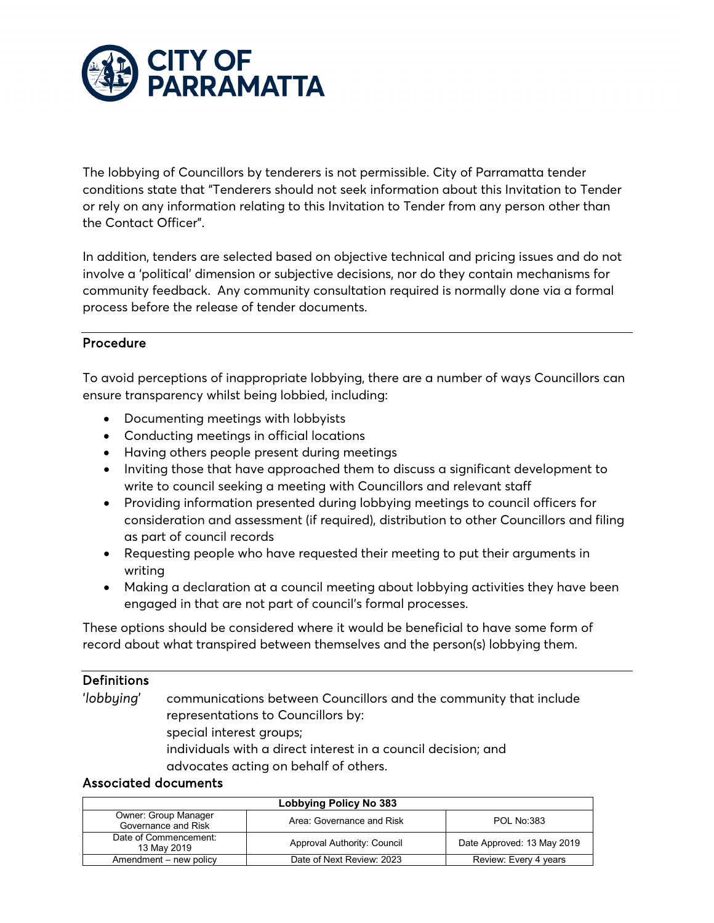

The lobbying of Councillors by tenderers is not permissible. City of Parramatta tender conditions state that "Tenderers should not seek information about this Invitation to Tender or rely on any information relating to this Invitation to Tender from any person other than the Contact Officer".

In addition, tenders are selected based on objective technical and pricing issues and do not involve a 'political' dimension or subjective decisions, nor do they contain mechanisms for community feedback. Any community consultation required is normally done via a formal process before the release of tender documents.

# Procedure

To avoid perceptions of inappropriate lobbying, there are a number of ways Councillors can ensure transparency whilst being lobbied, including:

- Documenting meetings with lobbyists
- Conducting meetings in official locations
- Having others people present during meetings
- Inviting those that have approached them to discuss a significant development to write to council seeking a meeting with Councillors and relevant staff
- Providing information presented during lobbying meetings to council officers for consideration and assessment (if required), distribution to other Councillors and filing as part of council records
- Requesting people who have requested their meeting to put their arguments in writing
- Making a declaration at a council meeting about lobbying activities they have been engaged in that are not part of council's formal processes.

These options should be considered where it would be beneficial to have some form of record about what transpired between themselves and the person(s) lobbying them.

## **Definitions**

'*lobbying*' communications between Councillors and the community that include representations to Councillors by: special interest groups; individuals with a direct interest in a council decision; and advocates acting on behalf of others.

## Associated documents

| Lobbying Policy No 383                      |                             |                            |  |  |
|---------------------------------------------|-----------------------------|----------------------------|--|--|
| Owner: Group Manager<br>Governance and Risk | Area: Governance and Risk   | <b>POL No:383</b>          |  |  |
| Date of Commencement:<br>13 May 2019        | Approval Authority: Council | Date Approved: 13 May 2019 |  |  |
| Amendment – new policy                      | Date of Next Review: 2023   | Review: Every 4 years      |  |  |